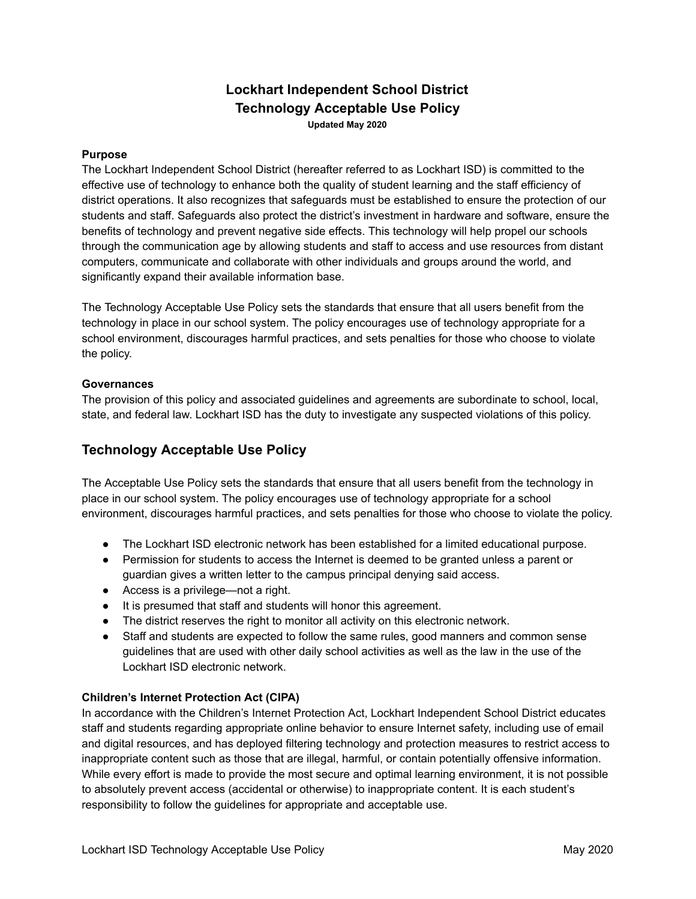## **Lockhart Independent School District Technology Acceptable Use Policy Updated May 2020**

#### **Purpose**

The Lockhart Independent School District (hereafter referred to as Lockhart ISD) is committed to the effective use of technology to enhance both the quality of student learning and the staff efficiency of district operations. It also recognizes that safeguards must be established to ensure the protection of our students and staff. Safeguards also protect the district's investment in hardware and software, ensure the benefits of technology and prevent negative side effects. This technology will help propel our schools through the communication age by allowing students and staff to access and use resources from distant computers, communicate and collaborate with other individuals and groups around the world, and significantly expand their available information base.

The Technology Acceptable Use Policy sets the standards that ensure that all users benefit from the technology in place in our school system. The policy encourages use of technology appropriate for a school environment, discourages harmful practices, and sets penalties for those who choose to violate the policy.

#### **Governances**

The provision of this policy and associated guidelines and agreements are subordinate to school, local, state, and federal law. Lockhart ISD has the duty to investigate any suspected violations of this policy.

## **Technology Acceptable Use Policy**

The Acceptable Use Policy sets the standards that ensure that all users benefit from the technology in place in our school system. The policy encourages use of technology appropriate for a school environment, discourages harmful practices, and sets penalties for those who choose to violate the policy.

- The Lockhart ISD electronic network has been established for a limited educational purpose.
- Permission for students to access the Internet is deemed to be granted unless a parent or guardian gives a written letter to the campus principal denying said access.
- Access is a privilege—not a right.
- It is presumed that staff and students will honor this agreement.
- The district reserves the right to monitor all activity on this electronic network.
- Staff and students are expected to follow the same rules, good manners and common sense guidelines that are used with other daily school activities as well as the law in the use of the Lockhart ISD electronic network.

#### **Children's Internet Protection Act (CIPA)**

In accordance with the Children's Internet Protection Act, Lockhart Independent School District educates staff and students regarding appropriate online behavior to ensure Internet safety, including use of email and digital resources, and has deployed filtering technology and protection measures to restrict access to inappropriate content such as those that are illegal, harmful, or contain potentially offensive information. While every effort is made to provide the most secure and optimal learning environment, it is not possible to absolutely prevent access (accidental or otherwise) to inappropriate content. It is each student's responsibility to follow the guidelines for appropriate and acceptable use.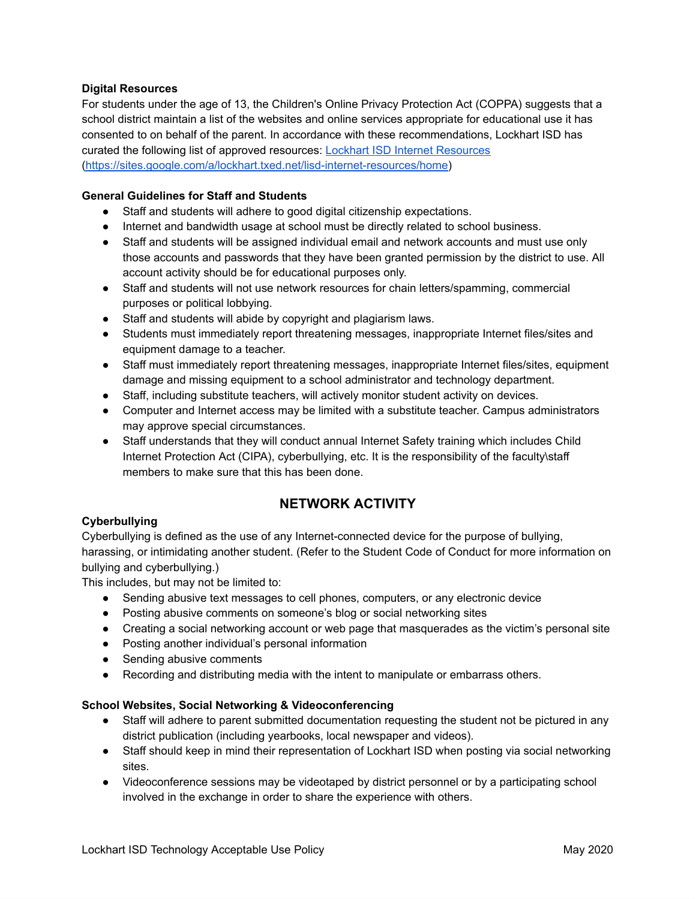#### **Digital Resources**

For students under the age of 13, the Children's Online Privacy Protection Act (COPPA) suggests that a school district maintain a list of the websites and online services appropriate for educational use it has consented to on behalf of the parent. In accordance with these recommendations, Lockhart ISD has curated the following list of approved resources: Lockhart ISD Internet [Resources](https://sites.google.com/a/lockhart.txed.net/lisd-internet-resources/home) [\(https://sites.google.com/a/lockhart.txed.net/lisd-internet-resources/home](https://sites.google.com/a/lockhart.txed.net/lisd-internet-resources/home?authuser=0))

#### **General Guidelines for Staff and Students**

- Staff and students will adhere to good digital citizenship expectations.
- Internet and bandwidth usage at school must be directly related to school business.
- Staff and students will be assigned individual email and network accounts and must use only those accounts and passwords that they have been granted permission by the district to use. All account activity should be for educational purposes only.
- Staff and students will not use network resources for chain letters/spamming, commercial purposes or political lobbying.
- Staff and students will abide by copyright and plagiarism laws.
- Students must immediately report threatening messages, inappropriate Internet files/sites and equipment damage to a teacher.
- Staff must immediately report threatening messages, inappropriate Internet files/sites, equipment damage and missing equipment to a school administrator and technology department.
- Staff, including substitute teachers, will actively monitor student activity on devices.
- Computer and Internet access may be limited with a substitute teacher. Campus administrators may approve special circumstances.
- Staff understands that they will conduct annual Internet Safety training which includes Child Internet Protection Act (CIPA), cyberbullying, etc. It is the responsibility of the faculty\staff members to make sure that this has been done.

## **NETWORK ACTIVITY**

### **Cyberbullying**

Cyberbullying is defined as the use of any Internet-connected device for the purpose of bullying, harassing, or intimidating another student. (Refer to the Student Code of Conduct for more information on bullying and cyberbullying.)

This includes, but may not be limited to:

- Sending abusive text messages to cell phones, computers, or any electronic device
- Posting abusive comments on someone's blog or social networking sites
- Creating a social networking account or web page that masquerades as the victim's personal site
- Posting another individual's personal information
- Sending abusive comments
- Recording and distributing media with the intent to manipulate or embarrass others.

### **School Websites, Social Networking & Videoconferencing**

- Staff will adhere to parent submitted documentation requesting the student not be pictured in any district publication (including yearbooks, local newspaper and videos).
- Staff should keep in mind their representation of Lockhart ISD when posting via social networking sites.
- Videoconference sessions may be videotaped by district personnel or by a participating school involved in the exchange in order to share the experience with others.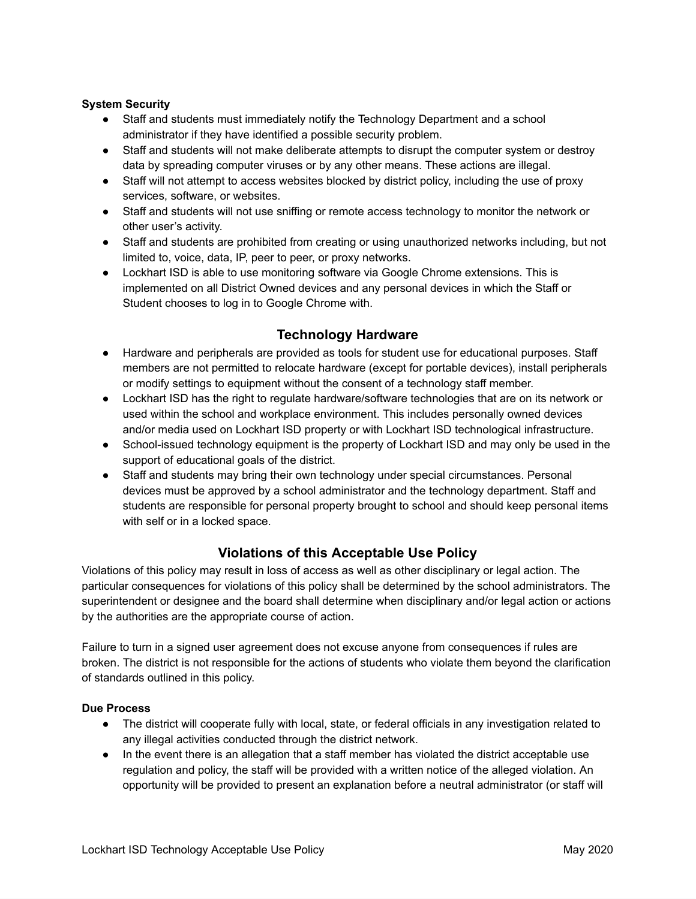### **System Security**

- Staff and students must immediately notify the Technology Department and a school administrator if they have identified a possible security problem.
- Staff and students will not make deliberate attempts to disrupt the computer system or destroy data by spreading computer viruses or by any other means. These actions are illegal.
- Staff will not attempt to access websites blocked by district policy, including the use of proxy services, software, or websites.
- Staff and students will not use sniffing or remote access technology to monitor the network or other user's activity.
- Staff and students are prohibited from creating or using unauthorized networks including, but not limited to, voice, data, IP, peer to peer, or proxy networks.
- Lockhart ISD is able to use monitoring software via Google Chrome extensions. This is implemented on all District Owned devices and any personal devices in which the Staff or Student chooses to log in to Google Chrome with.

## **Technology Hardware**

- Hardware and peripherals are provided as tools for student use for educational purposes. Staff members are not permitted to relocate hardware (except for portable devices), install peripherals or modify settings to equipment without the consent of a technology staff member.
- Lockhart ISD has the right to regulate hardware/software technologies that are on its network or used within the school and workplace environment. This includes personally owned devices and/or media used on Lockhart ISD property or with Lockhart ISD technological infrastructure.
- School-issued technology equipment is the property of Lockhart ISD and may only be used in the support of educational goals of the district.
- Staff and students may bring their own technology under special circumstances. Personal devices must be approved by a school administrator and the technology department. Staff and students are responsible for personal property brought to school and should keep personal items with self or in a locked space.

## **Violations of this Acceptable Use Policy**

Violations of this policy may result in loss of access as well as other disciplinary or legal action. The particular consequences for violations of this policy shall be determined by the school administrators. The superintendent or designee and the board shall determine when disciplinary and/or legal action or actions by the authorities are the appropriate course of action.

Failure to turn in a signed user agreement does not excuse anyone from consequences if rules are broken. The district is not responsible for the actions of students who violate them beyond the clarification of standards outlined in this policy.

### **Due Process**

- The district will cooperate fully with local, state, or federal officials in any investigation related to any illegal activities conducted through the district network.
- In the event there is an allegation that a staff member has violated the district acceptable use regulation and policy, the staff will be provided with a written notice of the alleged violation. An opportunity will be provided to present an explanation before a neutral administrator (or staff will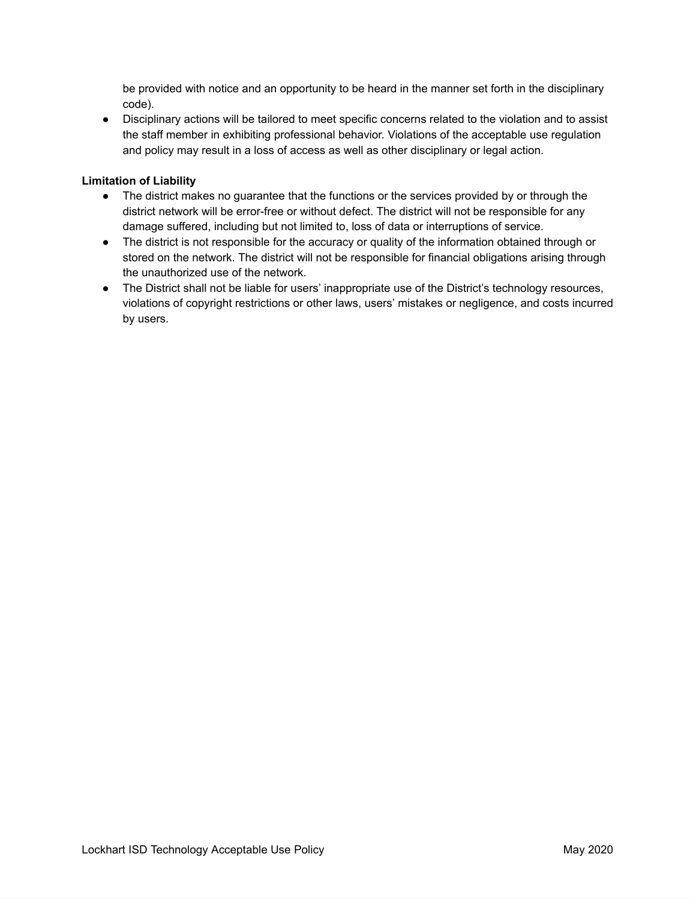be provided with notice and an opportunity to be heard in the manner set forth in the disciplinary code).

● Disciplinary actions will be tailored to meet specific concerns related to the violation and to assist the staff member in exhibiting professional behavior. Violations of the acceptable use regulation and policy may result in a loss of access as well as other disciplinary or legal action.

### **Limitation of Liability**

- The district makes no guarantee that the functions or the services provided by or through the district network will be error-free or without defect. The district will not be responsible for any damage suffered, including but not limited to, loss of data or interruptions of service.
- The district is not responsible for the accuracy or quality of the information obtained through or stored on the network. The district will not be responsible for financial obligations arising through the unauthorized use of the network.
- The District shall not be liable for users' inappropriate use of the District's technology resources, violations of copyright restrictions or other laws, users' mistakes or negligence, and costs incurred by users.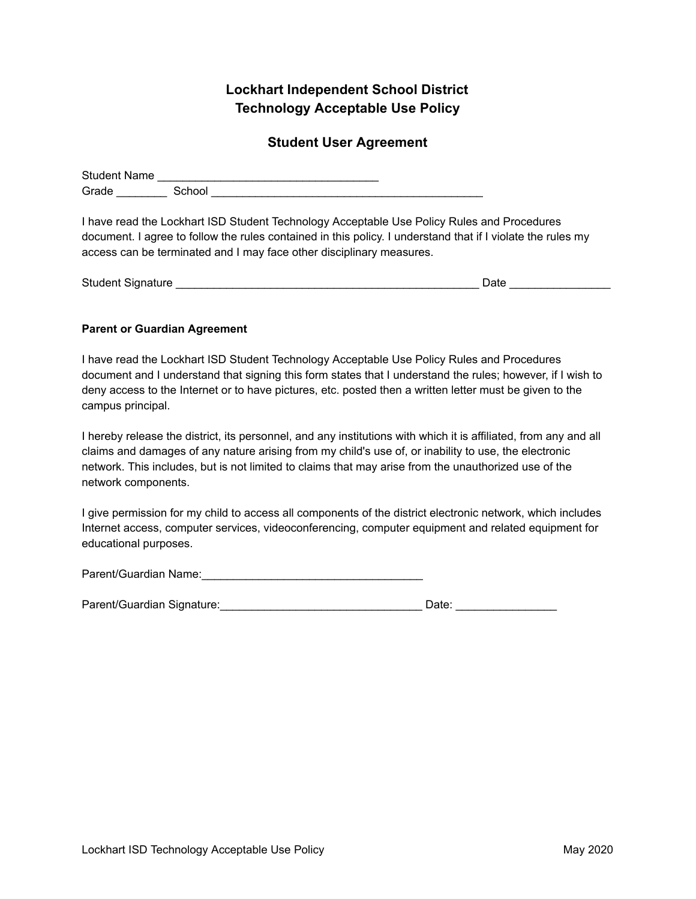# **Lockhart Independent School District Technology Acceptable Use Policy**

## **Student User Agreement**

| <b>Student Name</b> |        |  |
|---------------------|--------|--|
| Grade               | School |  |

I have read the Lockhart ISD Student Technology Acceptable Use Policy Rules and Procedures document. I agree to follow the rules contained in this policy. I understand that if I violate the rules my access can be terminated and I may face other disciplinary measures.

| <b>Student Signature</b> | Date |  |
|--------------------------|------|--|
|                          |      |  |

### **Parent or Guardian Agreement**

I have read the Lockhart ISD Student Technology Acceptable Use Policy Rules and Procedures document and I understand that signing this form states that I understand the rules; however, if I wish to deny access to the Internet or to have pictures, etc. posted then a written letter must be given to the campus principal.

I hereby release the district, its personnel, and any institutions with which it is affiliated, from any and all claims and damages of any nature arising from my child's use of, or inability to use, the electronic network. This includes, but is not limited to claims that may arise from the unauthorized use of the network components.

I give permission for my child to access all components of the district electronic network, which includes Internet access, computer services, videoconferencing, computer equipment and related equipment for educational purposes.

Parent/Guardian Name:

Parent/Guardian Signature:\_\_\_\_\_\_\_\_\_\_\_\_\_\_\_\_\_\_\_\_\_\_\_\_\_\_\_\_\_\_\_\_ Date: \_\_\_\_\_\_\_\_\_\_\_\_\_\_\_\_

| Date: |  |  |  |  |  |
|-------|--|--|--|--|--|
|       |  |  |  |  |  |